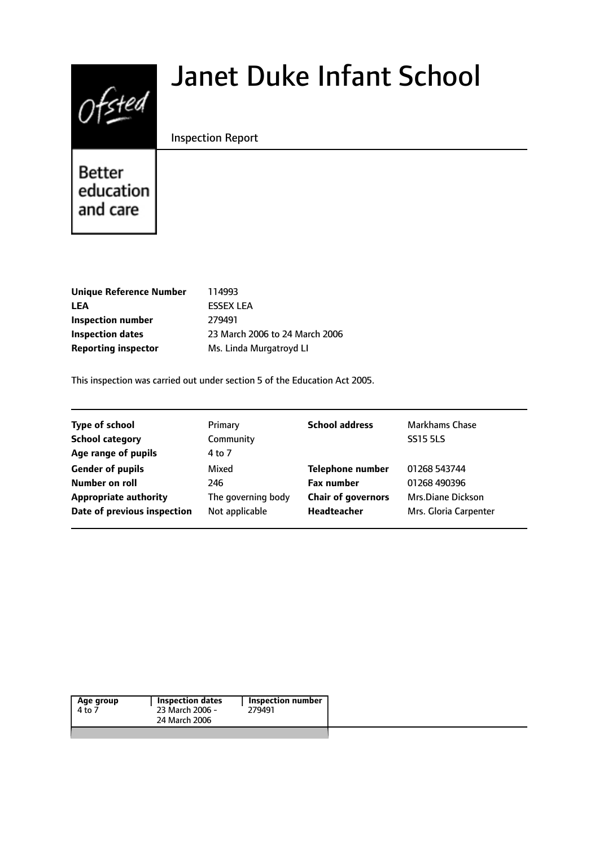# $Of$ sted

# Janet Duke Infant School

#### Inspection Report

Better education and care

| 114993                         |
|--------------------------------|
| <b>FSSEX LEA</b>               |
| 279491                         |
| 23 March 2006 to 24 March 2006 |
| Ms. Linda Murgatroyd Ll        |
|                                |

This inspection was carried out under section 5 of the Education Act 2005.

| <b>Type of school</b>        | Primary            | <b>School address</b>     | <b>Markhams Chase</b> |
|------------------------------|--------------------|---------------------------|-----------------------|
| <b>School category</b>       | Community          |                           | <b>SS15 5LS</b>       |
| Age range of pupils          | 4 to 7             |                           |                       |
| <b>Gender of pupils</b>      | Mixed              | <b>Telephone number</b>   | 01268 543744          |
| Number on roll               | 246                | <b>Fax number</b>         | 01268 490396          |
| <b>Appropriate authority</b> | The governing body | <b>Chair of governors</b> | Mrs.Diane Dickson     |
| Date of previous inspection  | Not applicable     | Headteacher               | Mrs. Gloria Carpenter |

|--|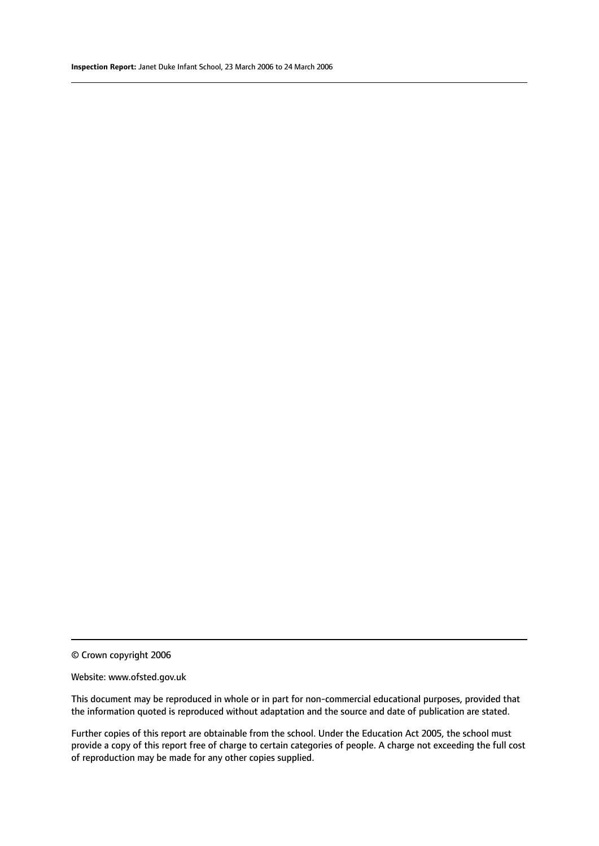© Crown copyright 2006

#### Website: www.ofsted.gov.uk

This document may be reproduced in whole or in part for non-commercial educational purposes, provided that the information quoted is reproduced without adaptation and the source and date of publication are stated.

Further copies of this report are obtainable from the school. Under the Education Act 2005, the school must provide a copy of this report free of charge to certain categories of people. A charge not exceeding the full cost of reproduction may be made for any other copies supplied.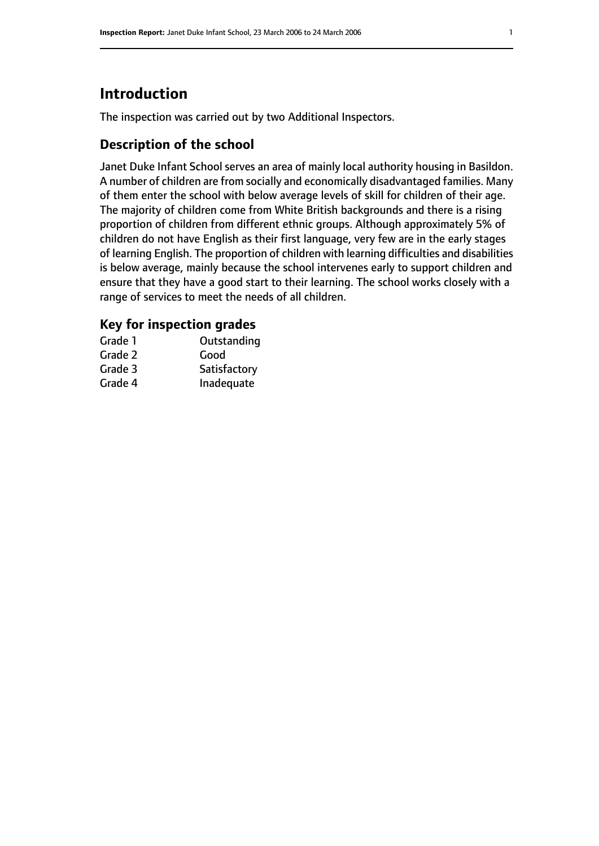# **Introduction**

The inspection was carried out by two Additional Inspectors.

# **Description of the school**

Janet Duke Infant School serves an area of mainly local authority housing in Basildon. A number of children are from socially and economically disadvantaged families. Many of them enter the school with below average levels of skill for children of their age. The majority of children come from White British backgrounds and there is a rising proportion of children from different ethnic groups. Although approximately 5% of children do not have English as their first language, very few are in the early stages of learning English. The proportion of children with learning difficulties and disabilities is below average, mainly because the school intervenes early to support children and ensure that they have a good start to their learning. The school works closely with a range of services to meet the needs of all children.

#### **Key for inspection grades**

| Grade 1 | Outstanding  |
|---------|--------------|
| Grade 2 | Good         |
| Grade 3 | Satisfactory |
| Grade 4 | Inadequate   |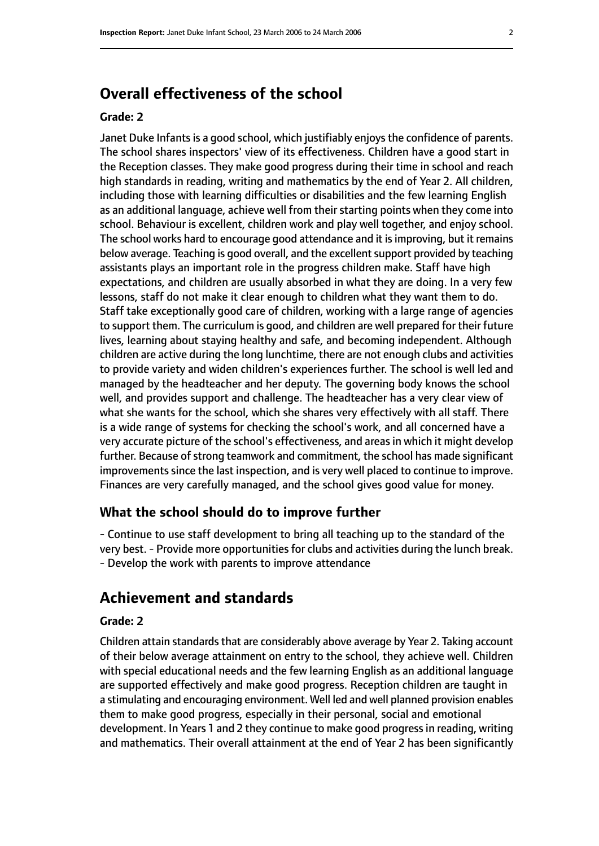# **Overall effectiveness of the school**

#### **Grade: 2**

Janet Duke Infants is a good school, which justifiably enjoys the confidence of parents. The school shares inspectors' view of its effectiveness. Children have a good start in the Reception classes. They make good progress during their time in school and reach high standards in reading, writing and mathematics by the end of Year 2. All children, including those with learning difficulties or disabilities and the few learning English as an additional language, achieve well from their starting points when they come into school. Behaviour is excellent, children work and play well together, and enjoy school. The school works hard to encourage good attendance and it is improving, but it remains below average. Teaching is good overall, and the excellent support provided by teaching assistants plays an important role in the progress children make. Staff have high expectations, and children are usually absorbed in what they are doing. In a very few lessons, staff do not make it clear enough to children what they want them to do. Staff take exceptionally good care of children, working with a large range of agencies to support them. The curriculum is good, and children are well prepared for their future lives, learning about staying healthy and safe, and becoming independent. Although children are active during the long lunchtime, there are not enough clubs and activities to provide variety and widen children's experiences further. The school is well led and managed by the headteacher and her deputy. The governing body knows the school well, and provides support and challenge. The headteacher has a very clear view of what she wants for the school, which she shares very effectively with all staff. There is a wide range of systems for checking the school's work, and all concerned have a very accurate picture of the school's effectiveness, and areas in which it might develop further. Because of strong teamwork and commitment, the school has made significant improvements since the last inspection, and is very well placed to continue to improve. Finances are very carefully managed, and the school gives good value for money.

#### **What the school should do to improve further**

- Continue to use staff development to bring all teaching up to the standard of the very best.- Provide more opportunities for clubs and activities during the lunch break. - Develop the work with parents to improve attendance

# **Achievement and standards**

#### **Grade: 2**

Children attain standards that are considerably above average by Year 2. Taking account of their below average attainment on entry to the school, they achieve well. Children with special educational needs and the few learning English as an additional language are supported effectively and make good progress. Reception children are taught in a stimulating and encouraging environment. Well led and well planned provision enables them to make good progress, especially in their personal, social and emotional development. In Years 1 and 2 they continue to make good progressin reading, writing and mathematics. Their overall attainment at the end of Year 2 has been significantly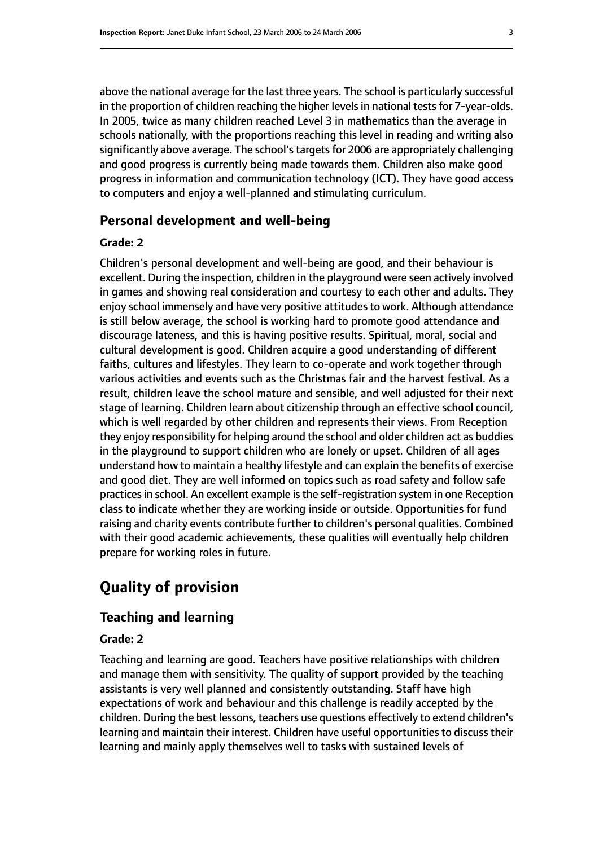above the national average for the last three years. The school is particularly successful in the proportion of children reaching the higher levels in national tests for 7-year-olds. In 2005, twice as many children reached Level 3 in mathematics than the average in schools nationally, with the proportions reaching this level in reading and writing also significantly above average. The school's targets for 2006 are appropriately challenging and good progress is currently being made towards them. Children also make good progress in information and communication technology (ICT). They have good access to computers and enjoy a well-planned and stimulating curriculum.

#### **Personal development and well-being**

#### **Grade: 2**

Children's personal development and well-being are good, and their behaviour is excellent. During the inspection, children in the playground were seen actively involved in games and showing real consideration and courtesy to each other and adults. They enjoy school immensely and have very positive attitudes to work. Although attendance is still below average, the school is working hard to promote good attendance and discourage lateness, and this is having positive results. Spiritual, moral, social and cultural development is good. Children acquire a good understanding of different faiths, cultures and lifestyles. They learn to co-operate and work together through various activities and events such as the Christmas fair and the harvest festival. As a result, children leave the school mature and sensible, and well adjusted for their next stage of learning. Children learn about citizenship through an effective school council, which is well regarded by other children and represents their views. From Reception they enjoy responsibility for helping around the school and older children act as buddies in the playground to support children who are lonely or upset. Children of all ages understand how to maintain a healthy lifestyle and can explain the benefits of exercise and good diet. They are well informed on topics such as road safety and follow safe practices in school. An excellent example is the self-registration system in one Reception class to indicate whether they are working inside or outside. Opportunities for fund raising and charity events contribute further to children's personal qualities. Combined with their good academic achievements, these qualities will eventually help children prepare for working roles in future.

# **Quality of provision**

#### **Teaching and learning**

#### **Grade: 2**

Teaching and learning are good. Teachers have positive relationships with children and manage them with sensitivity. The quality of support provided by the teaching assistants is very well planned and consistently outstanding. Staff have high expectations of work and behaviour and this challenge is readily accepted by the children. During the best lessons, teachers use questions effectively to extend children's learning and maintain their interest. Children have useful opportunities to discuss their learning and mainly apply themselves well to tasks with sustained levels of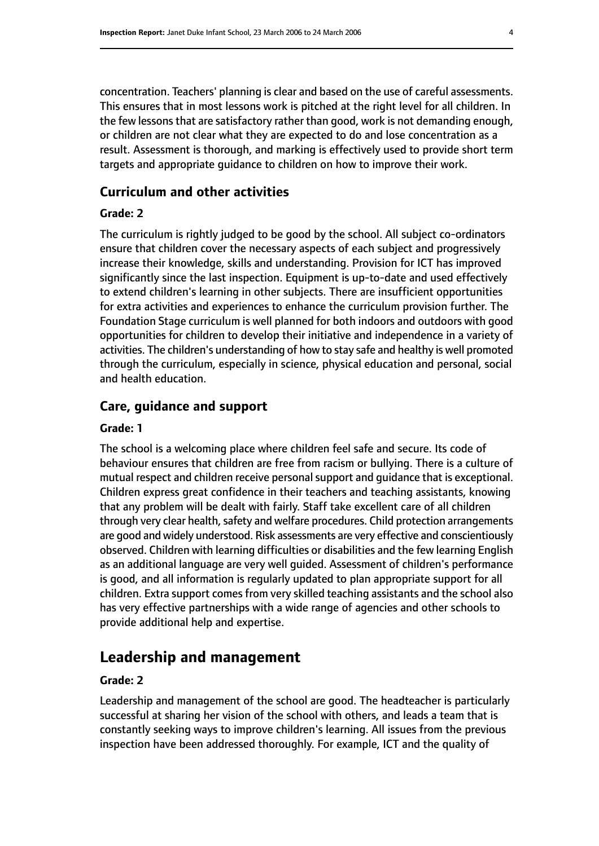concentration. Teachers' planning is clear and based on the use of careful assessments. This ensures that in most lessons work is pitched at the right level for all children. In the few lessons that are satisfactory rather than good, work is not demanding enough, or children are not clear what they are expected to do and lose concentration as a result. Assessment is thorough, and marking is effectively used to provide short term targets and appropriate guidance to children on how to improve their work.

#### **Curriculum and other activities**

#### **Grade: 2**

The curriculum is rightly judged to be good by the school. All subject co-ordinators ensure that children cover the necessary aspects of each subject and progressively increase their knowledge, skills and understanding. Provision for ICT has improved significantly since the last inspection. Equipment is up-to-date and used effectively to extend children's learning in other subjects. There are insufficient opportunities for extra activities and experiences to enhance the curriculum provision further. The Foundation Stage curriculum is well planned for both indoors and outdoors with good opportunities for children to develop their initiative and independence in a variety of activities. The children's understanding of how to stay safe and healthy is well promoted through the curriculum, especially in science, physical education and personal, social and health education.

#### **Care, guidance and support**

#### **Grade: 1**

The school is a welcoming place where children feel safe and secure. Its code of behaviour ensures that children are free from racism or bullying. There is a culture of mutual respect and children receive personal support and guidance that is exceptional. Children express great confidence in their teachers and teaching assistants, knowing that any problem will be dealt with fairly. Staff take excellent care of all children through very clear health, safety and welfare procedures. Child protection arrangements are good and widely understood. Risk assessments are very effective and conscientiously observed. Children with learning difficulties or disabilities and the few learning English as an additional language are very well guided. Assessment of children's performance is good, and all information is regularly updated to plan appropriate support for all children. Extra support comes from very skilled teaching assistants and the school also has very effective partnerships with a wide range of agencies and other schools to provide additional help and expertise.

#### **Leadership and management**

#### **Grade: 2**

Leadership and management of the school are good. The headteacher is particularly successful at sharing her vision of the school with others, and leads a team that is constantly seeking ways to improve children's learning. All issues from the previous inspection have been addressed thoroughly. For example, ICT and the quality of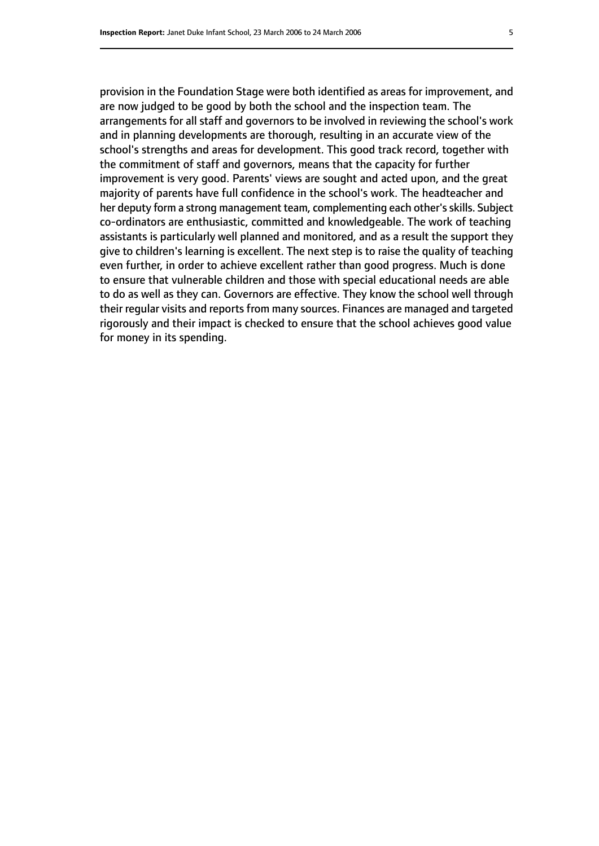provision in the Foundation Stage were both identified as areas for improvement, and are now judged to be good by both the school and the inspection team. The arrangements for all staff and governors to be involved in reviewing the school's work and in planning developments are thorough, resulting in an accurate view of the school's strengths and areas for development. This good track record, together with the commitment of staff and governors, means that the capacity for further improvement is very good. Parents' views are sought and acted upon, and the great majority of parents have full confidence in the school's work. The headteacher and her deputy form a strong management team, complementing each other's skills. Subject co-ordinators are enthusiastic, committed and knowledgeable. The work of teaching assistants is particularly well planned and monitored, and as a result the support they give to children's learning is excellent. The next step is to raise the quality of teaching even further, in order to achieve excellent rather than good progress. Much is done to ensure that vulnerable children and those with special educational needs are able to do as well as they can. Governors are effective. They know the school well through their regular visits and reports from many sources. Finances are managed and targeted rigorously and their impact is checked to ensure that the school achieves good value for money in its spending.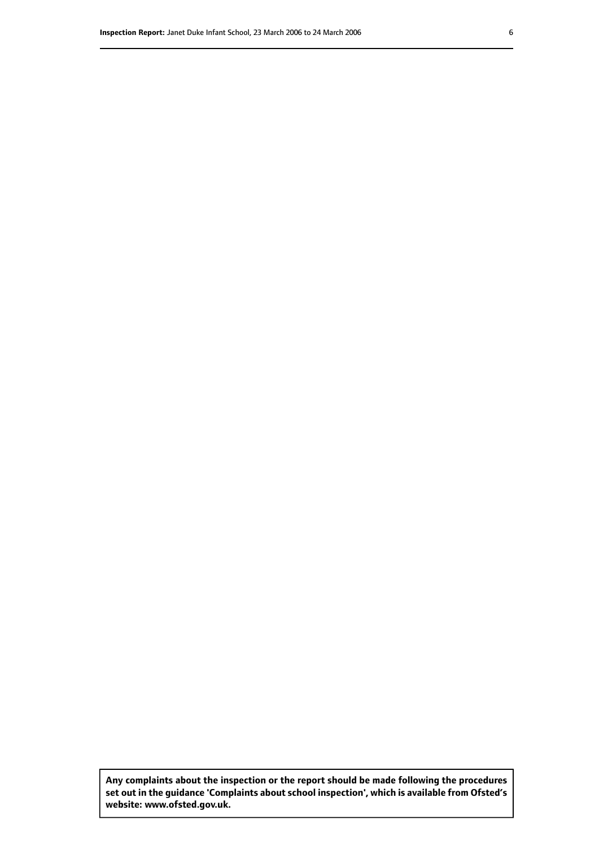**Any complaints about the inspection or the report should be made following the procedures set out inthe guidance 'Complaints about school inspection', whichis available from Ofsted's website: www.ofsted.gov.uk.**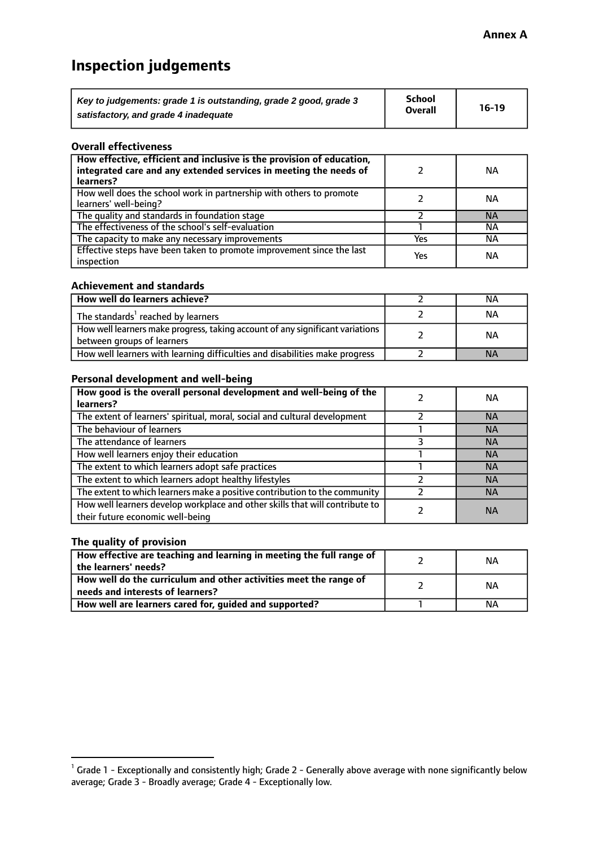# **Inspection judgements**

| Key to judgements: grade 1 is outstanding, grade 2 good, grade 3 | <b>School</b>  | $16-19$ |
|------------------------------------------------------------------|----------------|---------|
| satisfactory, and grade 4 inadequate                             | <b>Overall</b> |         |

#### **Overall effectiveness**

| How effective, efficient and inclusive is the provision of education,<br>integrated care and any extended services in meeting the needs of<br>learners? |     | <b>NA</b> |
|---------------------------------------------------------------------------------------------------------------------------------------------------------|-----|-----------|
| How well does the school work in partnership with others to promote<br>learners' well-being?                                                            |     | ΝA        |
| The quality and standards in foundation stage                                                                                                           |     | <b>NA</b> |
| The effectiveness of the school's self-evaluation                                                                                                       |     | ΝA        |
| The capacity to make any necessary improvements                                                                                                         | Yes | NА        |
| Effective steps have been taken to promote improvement since the last<br>inspection                                                                     | Yes | <b>NA</b> |

#### **Achievement and standards**

| How well do learners achieve?                                                                               | ΝA        |
|-------------------------------------------------------------------------------------------------------------|-----------|
| The standards <sup>1</sup> reached by learners                                                              | NА        |
| How well learners make progress, taking account of any significant variations<br>between groups of learners | <b>NA</b> |
| How well learners with learning difficulties and disabilities make progress                                 | <b>NA</b> |

#### **Personal development and well-being**

| How good is the overall personal development and well-being of the<br>learners?                                  | ΝA        |
|------------------------------------------------------------------------------------------------------------------|-----------|
| The extent of learners' spiritual, moral, social and cultural development                                        | <b>NA</b> |
| The behaviour of learners                                                                                        | <b>NA</b> |
| The attendance of learners                                                                                       | <b>NA</b> |
| How well learners enjoy their education                                                                          | <b>NA</b> |
| The extent to which learners adopt safe practices                                                                | <b>NA</b> |
| The extent to which learners adopt healthy lifestyles                                                            | <b>NA</b> |
| The extent to which learners make a positive contribution to the community                                       | <b>NA</b> |
| How well learners develop workplace and other skills that will contribute to<br>their future economic well-being | <b>NA</b> |

#### **The quality of provision**

| How effective are teaching and learning in meeting the full range of<br>the learners' needs?          | ΝA |
|-------------------------------------------------------------------------------------------------------|----|
| How well do the curriculum and other activities meet the range of<br>needs and interests of learners? | ΝA |
| How well are learners cared for, guided and supported?                                                | NА |

 $^1$  Grade 1 - Exceptionally and consistently high; Grade 2 - Generally above average with none significantly below average; Grade 3 - Broadly average; Grade 4 - Exceptionally low.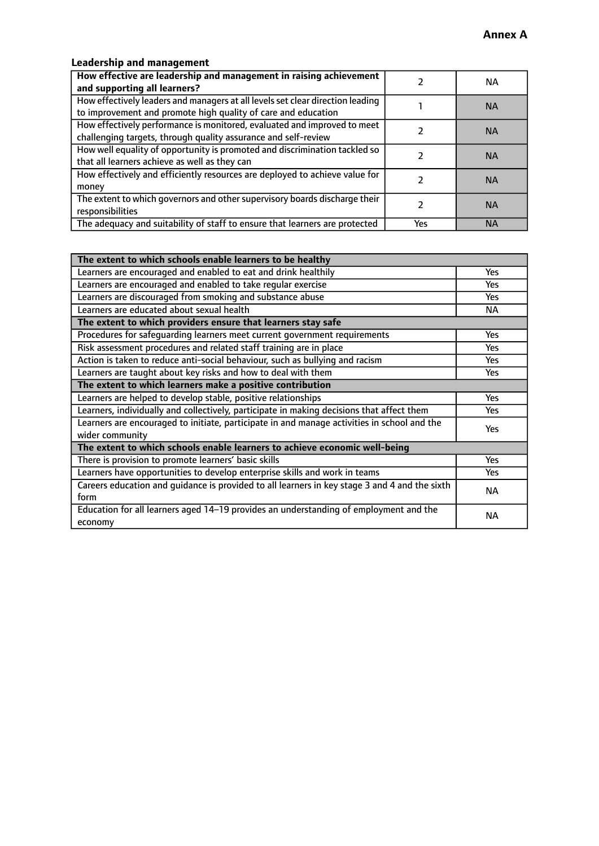## **Leadership and management**

| How effective are leadership and management in raising achievement<br>and supporting all learners?                                              |     | NA.       |
|-------------------------------------------------------------------------------------------------------------------------------------------------|-----|-----------|
| How effectively leaders and managers at all levels set clear direction leading<br>to improvement and promote high quality of care and education |     | <b>NA</b> |
| How effectively performance is monitored, evaluated and improved to meet<br>challenging targets, through quality assurance and self-review      |     | <b>NA</b> |
| How well equality of opportunity is promoted and discrimination tackled so<br>that all learners achieve as well as they can                     |     | <b>NA</b> |
| How effectively and efficiently resources are deployed to achieve value for<br>money                                                            |     | <b>NA</b> |
| The extent to which governors and other supervisory boards discharge their<br>responsibilities                                                  |     | <b>NA</b> |
| The adequacy and suitability of staff to ensure that learners are protected                                                                     | Yes | <b>NA</b> |

| The extent to which schools enable learners to be healthy                                     |            |  |
|-----------------------------------------------------------------------------------------------|------------|--|
| Learners are encouraged and enabled to eat and drink healthily                                | Yes        |  |
| Learners are encouraged and enabled to take regular exercise                                  | <b>Yes</b> |  |
| Learners are discouraged from smoking and substance abuse                                     | Yes        |  |
| Learners are educated about sexual health                                                     | <b>NA</b>  |  |
| The extent to which providers ensure that learners stay safe                                  |            |  |
| Procedures for safequarding learners meet current government requirements                     | Yes        |  |
| Risk assessment procedures and related staff training are in place                            | <b>Yes</b> |  |
| Action is taken to reduce anti-social behaviour, such as bullying and racism                  | <b>Yes</b> |  |
| Learners are taught about key risks and how to deal with them                                 | Yes        |  |
| The extent to which learners make a positive contribution                                     |            |  |
| Learners are helped to develop stable, positive relationships                                 | Yes        |  |
| Learners, individually and collectively, participate in making decisions that affect them     | Yes        |  |
| Learners are encouraged to initiate, participate in and manage activities in school and the   |            |  |
| wider community                                                                               | <b>Yes</b> |  |
| The extent to which schools enable learners to achieve economic well-being                    |            |  |
| There is provision to promote learners' basic skills                                          | Yes        |  |
| Learners have opportunities to develop enterprise skills and work in teams                    | Yes        |  |
| Careers education and guidance is provided to all learners in key stage 3 and 4 and the sixth | <b>NA</b>  |  |
| form                                                                                          |            |  |
| Education for all learners aged 14-19 provides an understanding of employment and the         | NА         |  |
| economy                                                                                       |            |  |